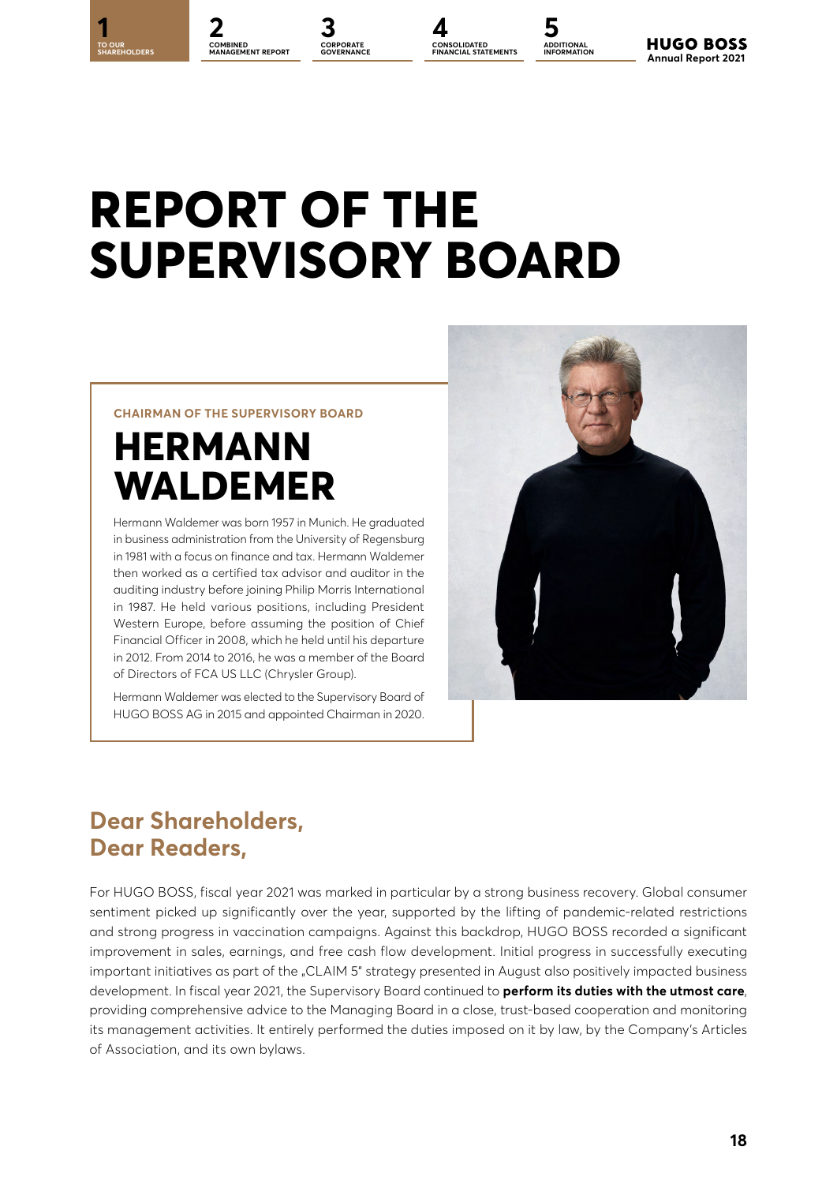**1 2 3 4 5 CORPORATE COMBINED MANAGEMENT REPORT**

**CORPORATE** 

**CONSOLIDATED FINANCIAL STATEMENTS**



**HUGO BOSS Annual Report 2021** 

# **REPORT OF THE SUPERVISORY BOARD**

#### **CHAIRMAN OF THE SUPERVISORY BOARD**

## **HERMANN WALDEMER**

Hermann Waldemer was born 1957 in Munich. He graduated in business administration from the University of Regensburg in 1981 with a focus on finance and tax. Hermann Waldemer then worked as a certified tax advisor and auditor in the auditing industry before joining Philip Morris International in 1987. He held various positions, including President Western Europe, before assuming the position of Chief Financial Officer in 2008, which he held until his departure in 2012. From 2014 to 2016, he was a member of the Board of Directors of FCA US LLC (Chrysler Group).

Hermann Waldemer was elected to the Supervisory Board of HUGO BOSS AG in 2015 and appointed Chairman in 2020.



### **Dear Shareholders, Dear Readers,**

For HUGO BOSS, fiscal year 2021 was marked in particular by a strong business recovery. Global consumer sentiment picked up significantly over the year, supported by the lifting of pandemic-related restrictions and strong progress in vaccination campaigns. Against this backdrop, HUGO BOSS recorded a significant improvement in sales, earnings, and free cash flow development. Initial progress in successfully executing important initiatives as part of the "CLAIM 5" strategy presented in August also positively impacted business development. In fiscal year 2021, the Supervisory Board continued to **perform its duties with the utmost care**, providing comprehensive advice to the Managing Board in a close, trust-based cooperation and monitoring its management activities. It entirely performed the duties imposed on it by law, by the Company's Articles of Association, and its own bylaws.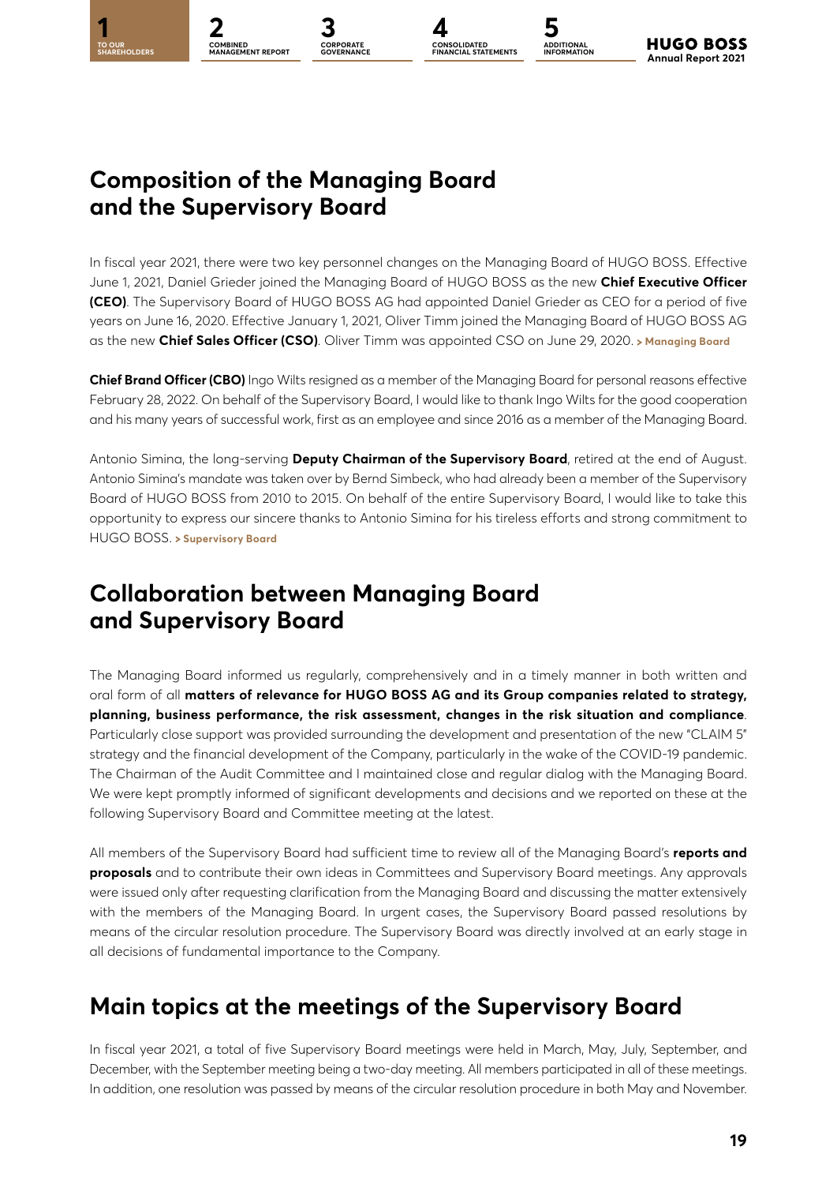CORPORA<mark>TE</mark><br>GOVERNANCE



**ADDITIONAL INFORMATION**

### **Composition of the Managing Board and the Supervisory Board**

In fiscal year 2021, there were two key personnel changes on the Managing Board of HUGO BOSS. Effective June 1, 2021, Daniel Grieder joined the Managing Board of HUGO BOSS as the new **Chief Executive Officer (CEO)**. The Supervisory Board of HUGO BOSS AG had appointed Daniel Grieder as CEO for a period of five years on June 16, 2020. Effective January 1, 2021, Oliver Timm joined the Managing Board of HUGO BOSS AG as the new **Chief Sales Officer (CSO)**. Oliver Timm was appointed CSO on June 29, 2020. > [Managing Board](#page--1-0)

**Chief Brand Officer (CBO)** Ingo Wilts resigned as a member of the Managing Board for personal reasons effective February 28, 2022. On behalf of the Supervisory Board, I would like to thank Ingo Wilts for the good cooperation and his many years of successful work, first as an employee and since 2016 as a member of the Managing Board.

Antonio Simina, the long-serving **Deputy Chairman of the Supervisory Board**, retired at the end of August. Antonio Simina's mandate was taken over by Bernd Simbeck, who had already been a member of the Supervisory Board of HUGO BOSS from 2010 to 2015. On behalf of the entire Supervisory Board, I would like to take this opportunity to express our sincere thanks to Antonio Simina for his tireless efforts and strong commitment to HUGO BOSS. **[Supervisory Board](#page--1-0)**

### **Collaboration between Managing Board and Supervisory Board**

The Managing Board informed us regularly, comprehensively and in a timely manner in both written and oral form of all **matters of relevance for HUGO BOSS AG and its Group companies related to strategy, planning, business performance, the risk assessment, changes in the risk situation and compliance**. Particularly close support was provided surrounding the development and presentation of the new "CLAIM 5" strategy and the financial development of the Company, particularly in the wake of the COVID-19 pandemic. The Chairman of the Audit Committee and I maintained close and regular dialog with the Managing Board. We were kept promptly informed of significant developments and decisions and we reported on these at the following Supervisory Board and Committee meeting at the latest.

All members of the Supervisory Board had sufficient time to review all of the Managing Board's **reports and proposals** and to contribute their own ideas in Committees and Supervisory Board meetings. Any approvals were issued only after requesting clarification from the Managing Board and discussing the matter extensively with the members of the Managing Board. In urgent cases, the Supervisory Board passed resolutions by means of the circular resolution procedure. The Supervisory Board was directly involved at an early stage in all decisions of fundamental importance to the Company.

### **Main topics at the meetings of the Supervisory Board**

In fiscal year 2021, a total of five Supervisory Board meetings were held in March, May, July, September, and December, with the September meeting being a two-day meeting. All members participated in all of these meetings. In addition, one resolution was passed by means of the circular resolution procedure in both May and November.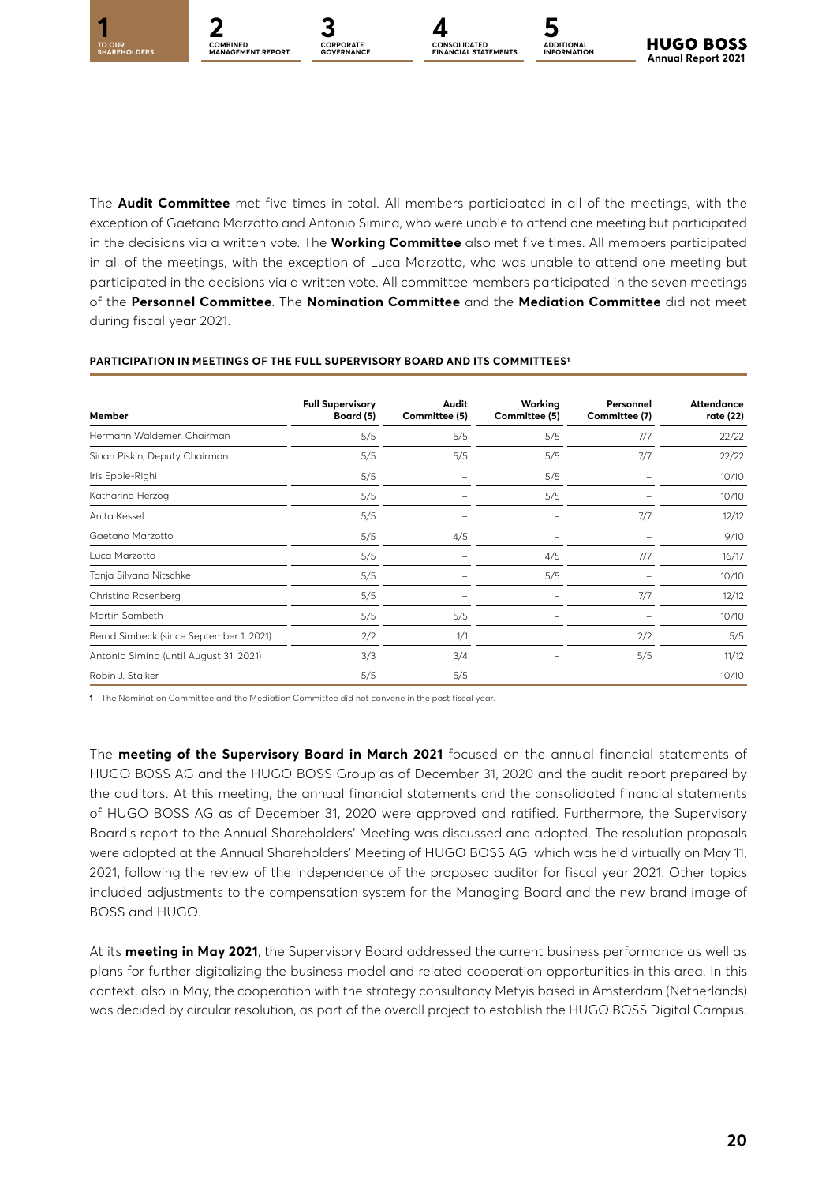

The **Audit Committee** met five times in total. All members participated in all of the meetings, with the exception of Gaetano Marzotto and Antonio Simina, who were unable to attend one meeting but participated in the decisions via a written vote. The **Working Committee** also met five times. All members participated in all of the meetings, with the exception of Luca Marzotto, who was unable to attend one meeting but participated in the decisions via a written vote. All committee members participated in the seven meetings of the **Personnel Committee**. The **Nomination Committee** and the **Mediation Committee** did not meet during fiscal year 2021.

| Member                                  | <b>Full Supervisory</b><br>Board (5) | Audit<br>Committee (5) | Working<br>Committee (5) | Personnel<br>Committee (7) | Attendance<br>rate (22) |
|-----------------------------------------|--------------------------------------|------------------------|--------------------------|----------------------------|-------------------------|
| Hermann Waldemer, Chairman              | 5/5                                  | 5/5                    | 5/5                      | 7/7                        | 22/22                   |
| Sinan Piskin, Deputy Chairman           | 5/5                                  | 5/5                    | 5/5                      | 7/7                        | 22/22                   |
| Iris Epple-Righi                        | 5/5                                  |                        | 5/5                      |                            | 10/10                   |
| Katharina Herzog                        | 5/5                                  |                        | 5/5                      |                            | 10/10                   |
| Anita Kessel                            | 5/5                                  |                        |                          | 7/7                        | 12/12                   |
| Gaetano Marzotto                        | 5/5                                  | 4/5                    |                          |                            | 9/10                    |
| Luca Marzotto                           | 5/5                                  |                        | 4/5                      | 7/7                        | 16/17                   |
| Tanja Silvana Nitschke                  | 5/5                                  |                        | 5/5                      |                            | 10/10                   |
| Christina Rosenberg                     | 5/5                                  |                        |                          | 7/7                        | 12/12                   |
| Martin Sambeth                          | 5/5                                  | 5/5                    |                          |                            | 10/10                   |
| Bernd Simbeck (since September 1, 2021) | 2/2                                  | 1/1                    |                          | 2/2                        | 5/5                     |
| Antonio Simina (until August 31, 2021)  | 3/3                                  | 3/4                    |                          | 5/5                        | 11/12                   |
| Robin J. Stalker                        | 5/5                                  | 5/5                    |                          |                            | 10/10                   |

#### **PARTICIPATION IN MEETINGS OF THE FULL SUPERVISORY BOARD AND ITS COMMITTEES1**

CORPORATE<br>GOVERNANCE

**1** The Nomination Committee and the Mediation Committee did not convene in the past fiscal year.

The **meeting of the Supervisory Board in March 2021** focused on the annual financial statements of HUGO BOSS AG and the HUGO BOSS Group as of December 31, 2020 and the audit report prepared by the auditors. At this meeting, the annual financial statements and the consolidated financial statements of HUGO BOSS AG as of December 31, 2020 were approved and ratified. Furthermore, the Supervisory Board's report to the Annual Shareholders' Meeting was discussed and adopted. The resolution proposals were adopted at the Annual Shareholders' Meeting of HUGO BOSS AG, which was held virtually on May 11, 2021, following the review of the independence of the proposed auditor for fiscal year 2021. Other topics included adjustments to the compensation system for the Managing Board and the new brand image of BOSS and HUGO.

At its **meeting in May 2021**, the Supervisory Board addressed the current business performance as well as plans for further digitalizing the business model and related cooperation opportunities in this area. In this context, also in May, the cooperation with the strategy consultancy Metyis based in Amsterdam (Netherlands) was decided by circular resolution, as part of the overall project to establish the HUGO BOSS Digital Campus.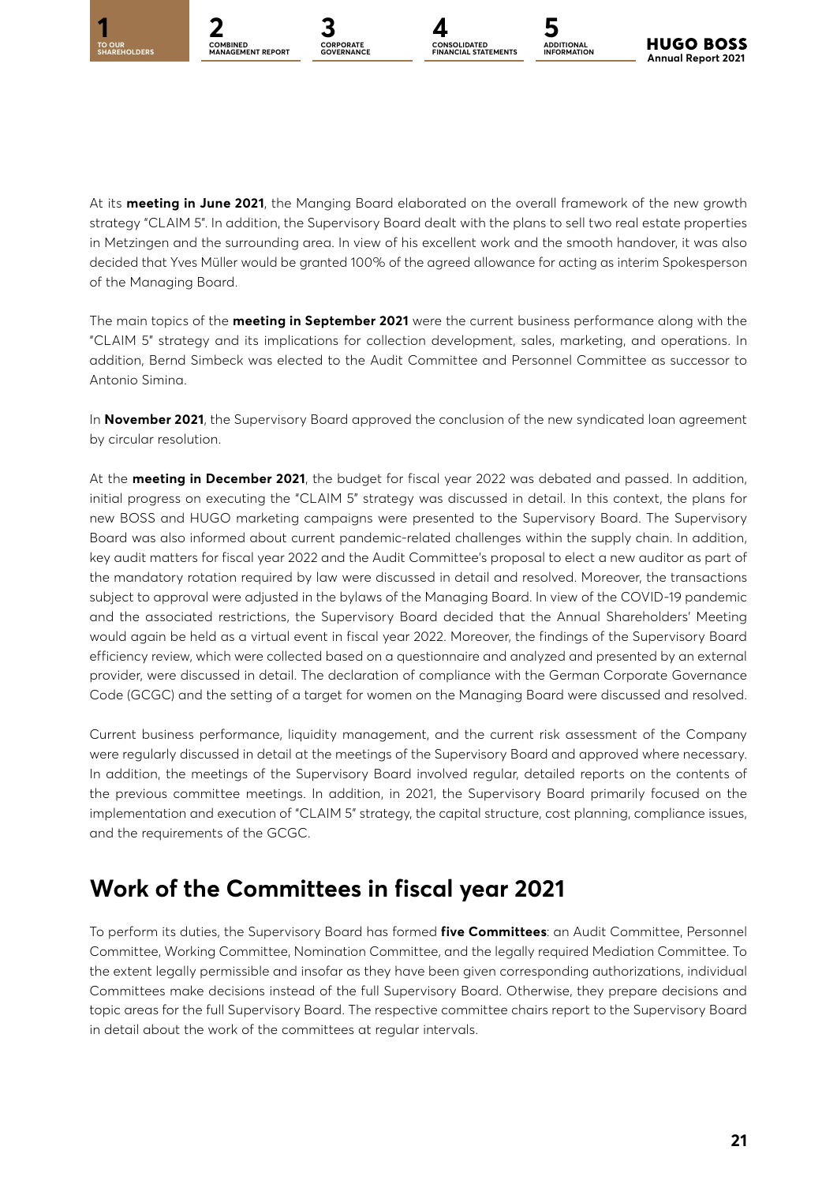**CORPORATE**<br>GOVERNANCE



At its **meeting in June 2021**, the Manging Board elaborated on the overall framework of the new growth strategy "CLAIM 5". In addition, the Supervisory Board dealt with the plans to sell two real estate properties in Metzingen and the surrounding area. In view of his excellent work and the smooth handover, it was also decided that Yves Müller would be granted 100% of the agreed allowance for acting as interim Spokesperson of the Managing Board.

The main topics of the **meeting in September 2021** were the current business performance along with the "CLAIM 5" strategy and its implications for collection development, sales, marketing, and operations. In addition, Bernd Simbeck was elected to the Audit Committee and Personnel Committee as successor to Antonio Simina.

In **November 2021**, the Supervisory Board approved the conclusion of the new syndicated loan agreement by circular resolution.

At the **meeting in December 2021**, the budget for fiscal year 2022 was debated and passed. In addition, initial progress on executing the "CLAIM 5" strategy was discussed in detail. In this context, the plans for new BOSS and HUGO marketing campaigns were presented to the Supervisory Board. The Supervisory Board was also informed about current pandemic-related challenges within the supply chain. In addition, key audit matters for fiscal year 2022 and the Audit Committee's proposal to elect a new auditor as part of the mandatory rotation required by law were discussed in detail and resolved. Moreover, the transactions subject to approval were adjusted in the bylaws of the Managing Board. In view of the COVID-19 pandemic and the associated restrictions, the Supervisory Board decided that the Annual Shareholders' Meeting would again be held as a virtual event in fiscal year 2022. Moreover, the findings of the Supervisory Board efficiency review, which were collected based on a questionnaire and analyzed and presented by an external provider, were discussed in detail. The declaration of compliance with the German Corporate Governance Code (GCGC) and the setting of a target for women on the Managing Board were discussed and resolved.

Current business performance, liquidity management, and the current risk assessment of the Company were regularly discussed in detail at the meetings of the Supervisory Board and approved where necessary. In addition, the meetings of the Supervisory Board involved regular, detailed reports on the contents of the previous committee meetings. In addition, in 2021, the Supervisory Board primarily focused on the implementation and execution of "CLAIM 5" strategy, the capital structure, cost planning, compliance issues, and the requirements of the GCGC.

### **Work of the Committees in fiscal year 2021**

To perform its duties, the Supervisory Board has formed **five Committees**: an Audit Committee, Personnel Committee, Working Committee, Nomination Committee, and the legally required Mediation Committee. To the extent legally permissible and insofar as they have been given corresponding authorizations, individual Committees make decisions instead of the full Supervisory Board. Otherwise, they prepare decisions and topic areas for the full Supervisory Board. The respective committee chairs report to the Supervisory Board in detail about the work of the committees at regular intervals.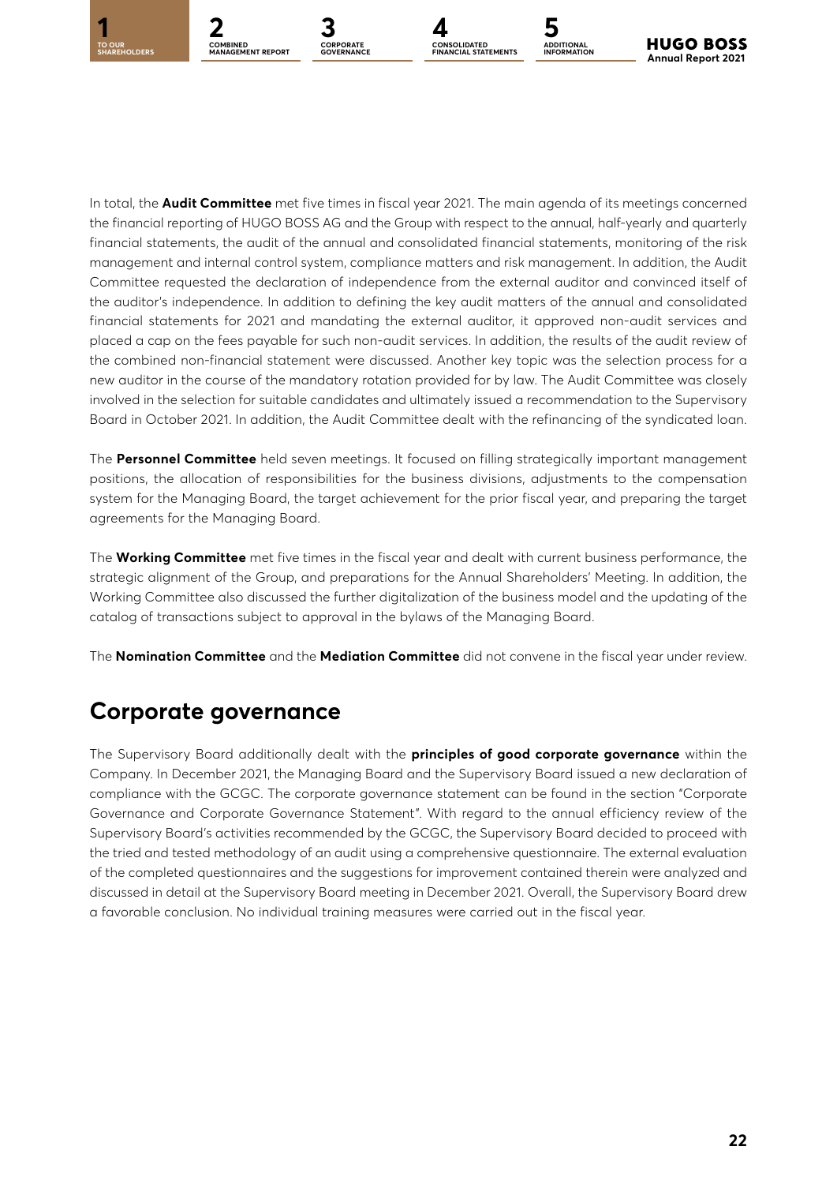

**ADDITIONAL INFORMATION**

In total, the **Audit Committee** met five times in fiscal year 2021. The main agenda of its meetings concerned the financial reporting of HUGO BOSS AG and the Group with respect to the annual, half-yearly and quarterly financial statements, the audit of the annual and consolidated financial statements, monitoring of the risk management and internal control system, compliance matters and risk management. In addition, the Audit Committee requested the declaration of independence from the external auditor and convinced itself of the auditor's independence. In addition to defining the key audit matters of the annual and consolidated financial statements for 2021 and mandating the external auditor, it approved non-audit services and placed a cap on the fees payable for such non-audit services. In addition, the results of the audit review of the combined non-financial statement were discussed. Another key topic was the selection process for a new auditor in the course of the mandatory rotation provided for by law. The Audit Committee was closely involved in the selection for suitable candidates and ultimately issued a recommendation to the Supervisory Board in October 2021. In addition, the Audit Committee dealt with the refinancing of the syndicated loan.

The **Personnel Committee** held seven meetings. It focused on filling strategically important management positions, the allocation of responsibilities for the business divisions, adjustments to the compensation system for the Managing Board, the target achievement for the prior fiscal year, and preparing the target agreements for the Managing Board.

The **Working Committee** met five times in the fiscal year and dealt with current business performance, the strategic alignment of the Group, and preparations for the Annual Shareholders' Meeting. In addition, the Working Committee also discussed the further digitalization of the business model and the updating of the catalog of transactions subject to approval in the bylaws of the Managing Board.

The **Nomination Committee** and the **Mediation Committee** did not convene in the fiscal year under review.

### **Corporate governance**

The Supervisory Board additionally dealt with the **principles of good corporate governance** within the Company. In December 2021, the Managing Board and the Supervisory Board issued a new declaration of compliance with the GCGC. The corporate governance statement can be found in the section "Corporate Governance and Corporate Governance Statement". With regard to the annual efficiency review of the Supervisory Board's activities recommended by the GCGC, the Supervisory Board decided to proceed with the tried and tested methodology of an audit using a comprehensive questionnaire. The external evaluation of the completed questionnaires and the suggestions for improvement contained therein were analyzed and discussed in detail at the Supervisory Board meeting in December 2021. Overall, the Supervisory Board drew a favorable conclusion. No individual training measures were carried out in the fiscal year.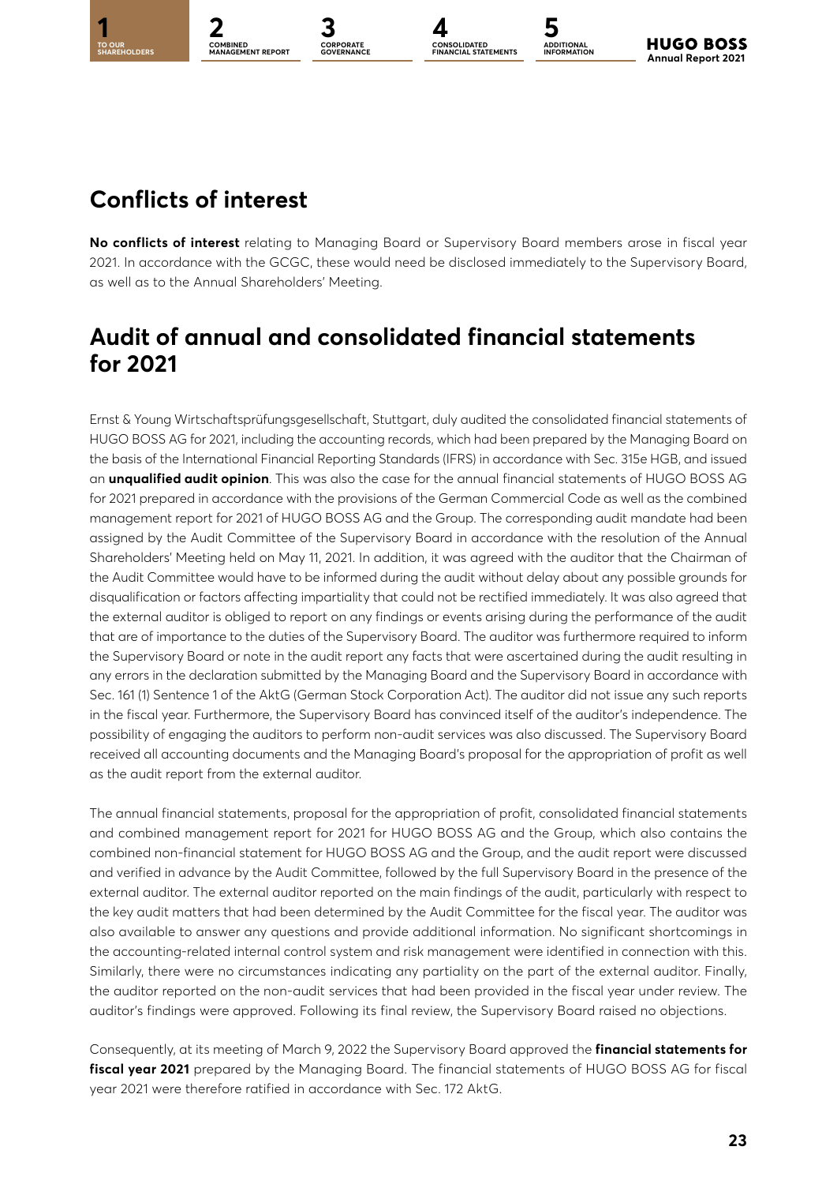**TO OUR** 

**COMBINED MANAGEMENT REPORT**

CORPORA<mark>TE</mark><br>GOVERNANCE

**1 2 3 4 5 CORPORATE CONSOLIDATED FINANCIAL STATEMENTS**

**ADDITIONAL INFORMATION**

### **Conflicts of interest**

**No conflicts of interest** relating to Managing Board or Supervisory Board members arose in fiscal year 2021. In accordance with the GCGC, these would need be disclosed immediately to the Supervisory Board, as well as to the Annual Shareholders' Meeting.

### **Audit of annual and consolidated financial statements for 2021**

Ernst & Young Wirtschaftsprüfungsgesellschaft, Stuttgart, duly audited the consolidated financial statements of HUGO BOSS AG for 2021, including the accounting records, which had been prepared by the Managing Board on the basis of the International Financial Reporting Standards (IFRS) in accordance with Sec. 315e HGB, and issued an **unqualified audit opinion**. This was also the case for the annual financial statements of HUGO BOSS AG for 2021 prepared in accordance with the provisions of the German Commercial Code as well as the combined management report for 2021 of HUGO BOSS AG and the Group. The corresponding audit mandate had been assigned by the Audit Committee of the Supervisory Board in accordance with the resolution of the Annual Shareholders' Meeting held on May 11, 2021. In addition, it was agreed with the auditor that the Chairman of the Audit Committee would have to be informed during the audit without delay about any possible grounds for disqualification or factors affecting impartiality that could not be rectified immediately. It was also agreed that the external auditor is obliged to report on any findings or events arising during the performance of the audit that are of importance to the duties of the Supervisory Board. The auditor was furthermore required to inform the Supervisory Board or note in the audit report any facts that were ascertained during the audit resulting in any errors in the declaration submitted by the Managing Board and the Supervisory Board in accordance with Sec. 161 (1) Sentence 1 of the AktG (German Stock Corporation Act). The auditor did not issue any such reports in the fiscal year. Furthermore, the Supervisory Board has convinced itself of the auditor's independence. The possibility of engaging the auditors to perform non-audit services was also discussed. The Supervisory Board received all accounting documents and the Managing Board's proposal for the appropriation of profit as well as the audit report from the external auditor.

The annual financial statements, proposal for the appropriation of profit, consolidated financial statements and combined management report for 2021 for HUGO BOSS AG and the Group, which also contains the combined non-financial statement for HUGO BOSS AG and the Group, and the audit report were discussed and verified in advance by the Audit Committee, followed by the full Supervisory Board in the presence of the external auditor. The external auditor reported on the main findings of the audit, particularly with respect to the key audit matters that had been determined by the Audit Committee for the fiscal year. The auditor was also available to answer any questions and provide additional information. No significant shortcomings in the accounting-related internal control system and risk management were identified in connection with this. Similarly, there were no circumstances indicating any partiality on the part of the external auditor. Finally, the auditor reported on the non-audit services that had been provided in the fiscal year under review. The auditor's findings were approved. Following its final review, the Supervisory Board raised no objections.

Consequently, at its meeting of March 9, 2022 the Supervisory Board approved the **financial statements for fiscal year 2021** prepared by the Managing Board. The financial statements of HUGO BOSS AG for fiscal year 2021 were therefore ratified in accordance with Sec. 172 AktG.